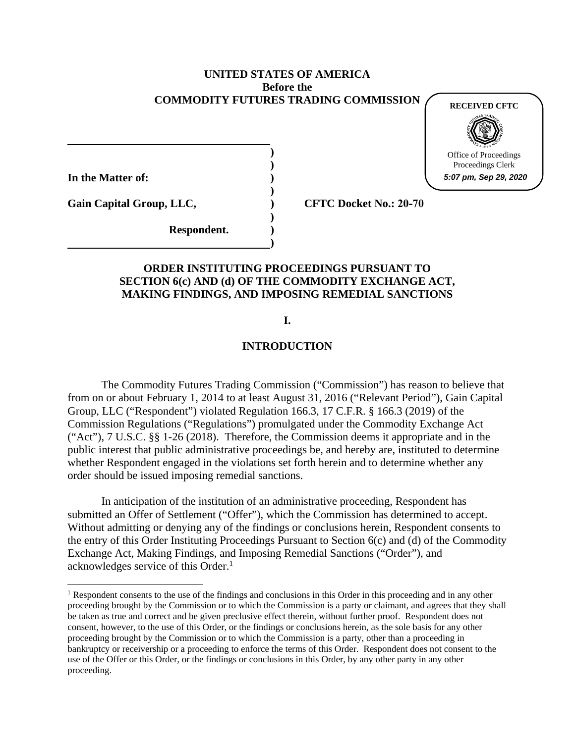### **UNITED STATES OF AMERICA Before the COMMODITY FUTURES TRADING COMMISSION**

**) )** 

**)** 

**)** 

**)** 

**In the Matter of: )** 

**RECEIVED CFTC**



Office of Proceedings Proceedings Clerk

**5:07 pm, Sep 29, 2020**

Gain Capital Group, LLC,  $CFTC$  Docket No.: 20-70

**Respondent. )** 

## **ORDER INSTITUTING PROCEEDINGS PURSUANT TO SECTION 6(c) AND (d) OF THE COMMODITY EXCHANGE ACT, MAKING FINDINGS, AND IMPOSING REMEDIAL SANCTIONS**

## **I.**

# **INTRODUCTION**

The Commodity Futures Trading Commission ("Commission") has reason to believe that from on or about February 1, 2014 to at least August 31, 2016 ("Relevant Period"), Gain Capital Group, LLC ("Respondent") violated Regulation 166.3, 17 C.F.R. § 166.3 (2019) of the Commission Regulations ("Regulations") promulgated under the Commodity Exchange Act ("Act"), 7 U.S.C. §§ 1-26 (2018). Therefore, the Commission deems it appropriate and in the public interest that public administrative proceedings be, and hereby are, instituted to determine whether Respondent engaged in the violations set forth herein and to determine whether any order should be issued imposing remedial sanctions.

In anticipation of the institution of an administrative proceeding, Respondent has submitted an Offer of Settlement ("Offer"), which the Commission has determined to accept. Without admitting or denying any of the findings or conclusions herein, Respondent consents to the entry of this Order Instituting Proceedings Pursuant to Section 6(c) and (d) of the Commodity Exchange Act, Making Findings, and Imposing Remedial Sanctions ("Order"), and acknowledges service of this Order.<sup>1</sup>

<sup>&</sup>lt;sup>1</sup> Respondent consents to the use of the findings and conclusions in this Order in this proceeding and in any other proceeding brought by the Commission or to which the Commission is a party or claimant, and agrees that they shall be taken as true and correct and be given preclusive effect therein, without further proof. Respondent does not consent, however, to the use of this Order, or the findings or conclusions herein, as the sole basis for any other proceeding brought by the Commission or to which the Commission is a party, other than a proceeding in bankruptcy or receivership or a proceeding to enforce the terms of this Order. Respondent does not consent to the use of the Offer or this Order, or the findings or conclusions in this Order, by any other party in any other proceeding.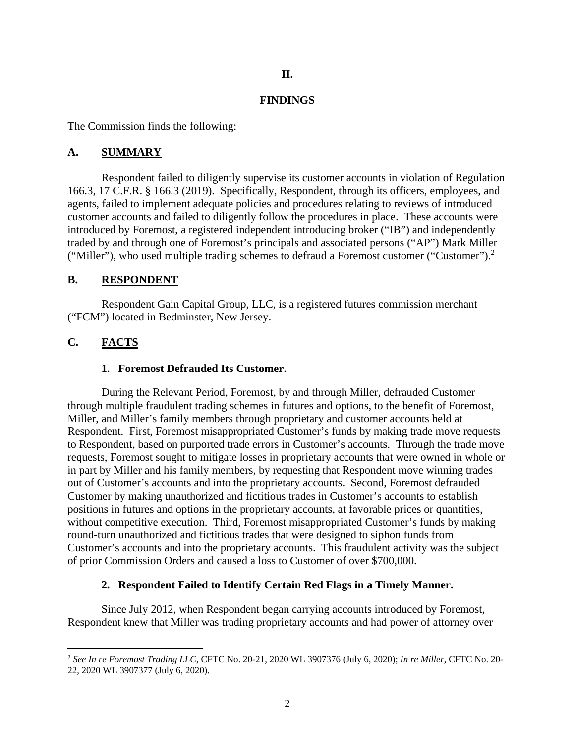## **II.**

### **FINDINGS**

The Commission finds the following:

### **A. SUMMARY**

Respondent failed to diligently supervise its customer accounts in violation of Regulation 166.3, 17 C.F.R. § 166.3 (2019). Specifically, Respondent, through its officers, employees, and agents, failed to implement adequate policies and procedures relating to reviews of introduced customer accounts and failed to diligently follow the procedures in place. These accounts were introduced by Foremost, a registered independent introducing broker ("IB") and independently traded by and through one of Foremost's principals and associated persons ("AP") Mark Miller ("Miller"), who used multiple trading schemes to defraud a Foremost customer ("Customer").<sup>2</sup>

#### **B. RESPONDENT**

 Respondent Gain Capital Group, LLC, is a registered futures commission merchant ("FCM") located in Bedminster, New Jersey.

# **C. FACTS**

### **1. Foremost Defrauded Its Customer.**

During the Relevant Period, Foremost, by and through Miller, defrauded Customer through multiple fraudulent trading schemes in futures and options, to the benefit of Foremost, Miller, and Miller's family members through proprietary and customer accounts held at Respondent. First, Foremost misappropriated Customer's funds by making trade move requests to Respondent, based on purported trade errors in Customer's accounts. Through the trade move requests, Foremost sought to mitigate losses in proprietary accounts that were owned in whole or in part by Miller and his family members, by requesting that Respondent move winning trades out of Customer's accounts and into the proprietary accounts. Second, Foremost defrauded Customer by making unauthorized and fictitious trades in Customer's accounts to establish positions in futures and options in the proprietary accounts, at favorable prices or quantities, without competitive execution. Third, Foremost misappropriated Customer's funds by making round-turn unauthorized and fictitious trades that were designed to siphon funds from Customer's accounts and into the proprietary accounts. This fraudulent activity was the subject of prior Commission Orders and caused a loss to Customer of over \$700,000.

## **2. Respondent Failed to Identify Certain Red Flags in a Timely Manner.**

Since July 2012, when Respondent began carrying accounts introduced by Foremost, Respondent knew that Miller was trading proprietary accounts and had power of attorney over

<sup>2</sup> *See In re Foremost Trading LLC*, CFTC No. 20-21, 2020 WL 3907376 (July 6, 2020); *In re Miller*, CFTC No. 20- 22, 2020 WL 3907377 (July 6, 2020).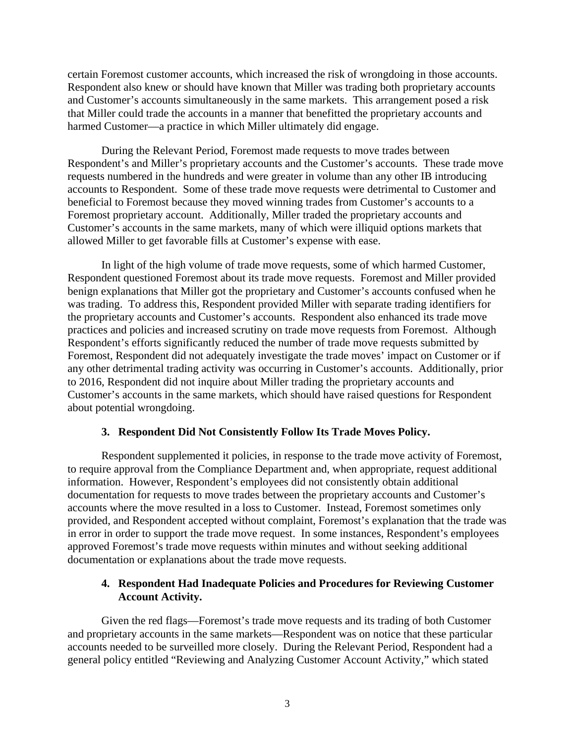certain Foremost customer accounts, which increased the risk of wrongdoing in those accounts. Respondent also knew or should have known that Miller was trading both proprietary accounts and Customer's accounts simultaneously in the same markets. This arrangement posed a risk that Miller could trade the accounts in a manner that benefitted the proprietary accounts and harmed Customer—a practice in which Miller ultimately did engage.

During the Relevant Period, Foremost made requests to move trades between Respondent's and Miller's proprietary accounts and the Customer's accounts. These trade move requests numbered in the hundreds and were greater in volume than any other IB introducing accounts to Respondent. Some of these trade move requests were detrimental to Customer and beneficial to Foremost because they moved winning trades from Customer's accounts to a Foremost proprietary account. Additionally, Miller traded the proprietary accounts and Customer's accounts in the same markets, many of which were illiquid options markets that allowed Miller to get favorable fills at Customer's expense with ease.

In light of the high volume of trade move requests, some of which harmed Customer, Respondent questioned Foremost about its trade move requests. Foremost and Miller provided benign explanations that Miller got the proprietary and Customer's accounts confused when he was trading. To address this, Respondent provided Miller with separate trading identifiers for the proprietary accounts and Customer's accounts. Respondent also enhanced its trade move practices and policies and increased scrutiny on trade move requests from Foremost. Although Respondent's efforts significantly reduced the number of trade move requests submitted by Foremost, Respondent did not adequately investigate the trade moves' impact on Customer or if any other detrimental trading activity was occurring in Customer's accounts. Additionally, prior to 2016, Respondent did not inquire about Miller trading the proprietary accounts and Customer's accounts in the same markets, which should have raised questions for Respondent about potential wrongdoing.

#### **3. Respondent Did Not Consistently Follow Its Trade Moves Policy.**

Respondent supplemented it policies, in response to the trade move activity of Foremost, to require approval from the Compliance Department and, when appropriate, request additional information. However, Respondent's employees did not consistently obtain additional documentation for requests to move trades between the proprietary accounts and Customer's accounts where the move resulted in a loss to Customer. Instead, Foremost sometimes only provided, and Respondent accepted without complaint, Foremost's explanation that the trade was in error in order to support the trade move request. In some instances, Respondent's employees approved Foremost's trade move requests within minutes and without seeking additional documentation or explanations about the trade move requests.

## **4. Respondent Had Inadequate Policies and Procedures for Reviewing Customer Account Activity.**

Given the red flags—Foremost's trade move requests and its trading of both Customer and proprietary accounts in the same markets—Respondent was on notice that these particular accounts needed to be surveilled more closely. During the Relevant Period, Respondent had a general policy entitled "Reviewing and Analyzing Customer Account Activity," which stated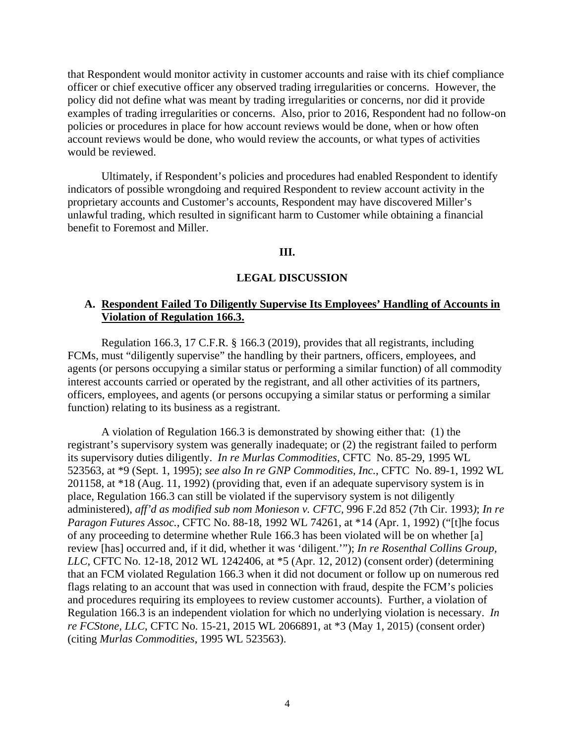that Respondent would monitor activity in customer accounts and raise with its chief compliance officer or chief executive officer any observed trading irregularities or concerns. However, the policy did not define what was meant by trading irregularities or concerns, nor did it provide examples of trading irregularities or concerns. Also, prior to 2016, Respondent had no follow-on policies or procedures in place for how account reviews would be done, when or how often account reviews would be done, who would review the accounts, or what types of activities would be reviewed.

Ultimately, if Respondent's policies and procedures had enabled Respondent to identify indicators of possible wrongdoing and required Respondent to review account activity in the proprietary accounts and Customer's accounts, Respondent may have discovered Miller's unlawful trading, which resulted in significant harm to Customer while obtaining a financial benefit to Foremost and Miller.

#### **III.**

### **LEGAL DISCUSSION**

## **A. Respondent Failed To Diligently Supervise Its Employees' Handling of Accounts in Violation of Regulation 166.3.**

Regulation 166.3, 17 C.F.R. § 166.3 (2019), provides that all registrants, including FCMs, must "diligently supervise" the handling by their partners, officers, employees, and agents (or persons occupying a similar status or performing a similar function) of all commodity interest accounts carried or operated by the registrant, and all other activities of its partners, officers, employees, and agents (or persons occupying a similar status or performing a similar function) relating to its business as a registrant.

A violation of Regulation 166.3 is demonstrated by showing either that: (1) the registrant's supervisory system was generally inadequate; or (2) the registrant failed to perform its supervisory duties diligently. *In re Murlas Commodities*, CFTC No. 85-29, 1995 WL 523563, at \*9 (Sept. 1, 1995); *see also In re GNP Commodities, Inc.*, CFTC No. 89-1, 1992 WL 201158, at \*18 (Aug. 11, 1992) (providing that, even if an adequate supervisory system is in place, Regulation 166.3 can still be violated if the supervisory system is not diligently administered), *aff'd as modified sub nom Monieson v. CFTC,* 996 F.2d 852 (7th Cir. 1993*)*; *In re Paragon Futures Assoc.*, CFTC No. 88-18, 1992 WL 74261, at \*14 (Apr. 1, 1992) ("[t]he focus of any proceeding to determine whether Rule 166.3 has been violated will be on whether [a] review [has] occurred and, if it did, whether it was 'diligent.'"); *In re Rosenthal Collins Group, LLC*, CFTC No. 12-18, 2012 WL 1242406, at \*5 (Apr. 12, 2012) (consent order) (determining that an FCM violated Regulation 166.3 when it did not document or follow up on numerous red flags relating to an account that was used in connection with fraud, despite the FCM's policies and procedures requiring its employees to review customer accounts). Further, a violation of Regulation 166.3 is an independent violation for which no underlying violation is necessary. *In re FCStone, LLC*, CFTC No. 15-21, 2015 WL 2066891, at \*3 (May 1, 2015) (consent order) (citing *Murlas Commodities*, 1995 WL 523563).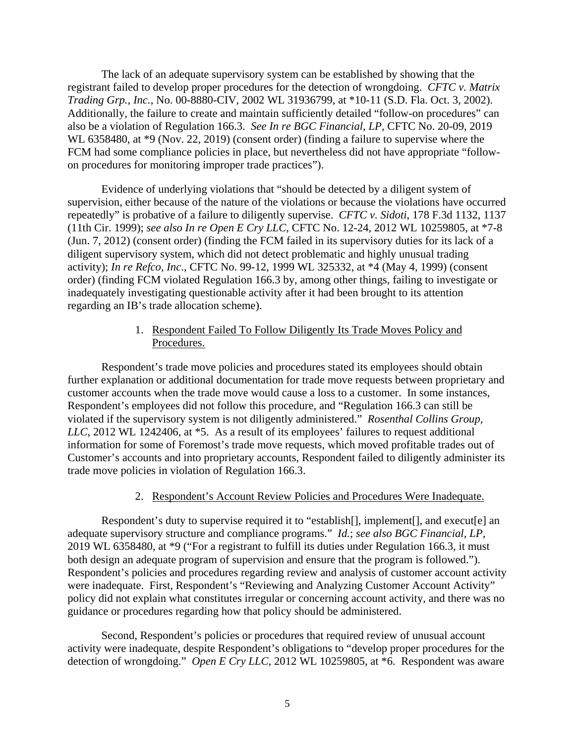The lack of an adequate supervisory system can be established by showing that the registrant failed to develop proper procedures for the detection of wrongdoing. *CFTC v. Matrix Trading Grp., Inc.*, No. 00-8880-CIV, 2002 WL 31936799, at \*10-11 (S.D. Fla. Oct. 3, 2002). Additionally, the failure to create and maintain sufficiently detailed "follow-on procedures" can also be a violation of Regulation 166.3. *See In re BGC Financial, LP*, CFTC No. 20-09, 2019 WL 6358480, at  $*9$  (Nov. 22, 2019) (consent order) (finding a failure to supervise where the FCM had some compliance policies in place, but nevertheless did not have appropriate "followon procedures for monitoring improper trade practices").

Evidence of underlying violations that "should be detected by a diligent system of supervision, either because of the nature of the violations or because the violations have occurred repeatedly" is probative of a failure to diligently supervise. *CFTC v. Sidoti*, 178 F.3d 1132, 1137 (11th Cir. 1999); *see also In re Open E Cry LLC*, CFTC No. 12-24, 2012 WL 10259805, at \*7-8 (Jun. 7, 2012) (consent order) (finding the FCM failed in its supervisory duties for its lack of a diligent supervisory system, which did not detect problematic and highly unusual trading activity); *In re Refco, Inc*., CFTC No. 99-12, 1999 WL 325332, at \*4 (May 4, 1999) (consent order) (finding FCM violated Regulation 166.3 by, among other things, failing to investigate or inadequately investigating questionable activity after it had been brought to its attention regarding an IB's trade allocation scheme).

## 1. Respondent Failed To Follow Diligently Its Trade Moves Policy and Procedures.

Respondent's trade move policies and procedures stated its employees should obtain further explanation or additional documentation for trade move requests between proprietary and customer accounts when the trade move would cause a loss to a customer. In some instances, Respondent's employees did not follow this procedure, and "Regulation 166.3 can still be violated if the supervisory system is not diligently administered." *Rosenthal Collins Group, LLC*, 2012 WL 1242406, at \*5. As a result of its employees' failures to request additional information for some of Foremost's trade move requests, which moved profitable trades out of Customer's accounts and into proprietary accounts, Respondent failed to diligently administer its trade move policies in violation of Regulation 166.3.

## 2. Respondent's Account Review Policies and Procedures Were Inadequate.

Respondent's duty to supervise required it to "establish[], implement[], and execut[e] an adequate supervisory structure and compliance programs." *Id.*; *see also BGC Financial, LP*, 2019 WL 6358480, at \*9 ("For a registrant to fulfill its duties under Regulation 166.3, it must both design an adequate program of supervision and ensure that the program is followed."). Respondent's policies and procedures regarding review and analysis of customer account activity were inadequate. First, Respondent's "Reviewing and Analyzing Customer Account Activity" policy did not explain what constitutes irregular or concerning account activity, and there was no guidance or procedures regarding how that policy should be administered.

Second, Respondent's policies or procedures that required review of unusual account activity were inadequate, despite Respondent's obligations to "develop proper procedures for the detection of wrongdoing." *Open E Cry LLC*, 2012 WL 10259805, at \*6. Respondent was aware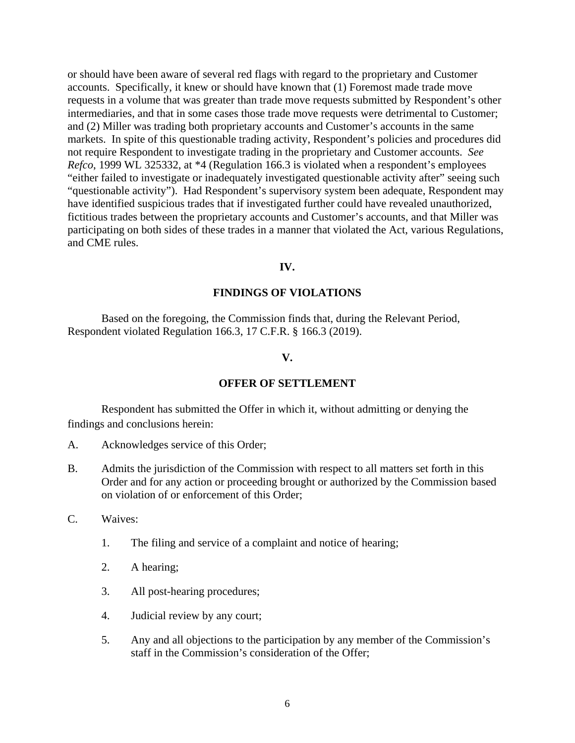or should have been aware of several red flags with regard to the proprietary and Customer accounts. Specifically, it knew or should have known that (1) Foremost made trade move requests in a volume that was greater than trade move requests submitted by Respondent's other intermediaries, and that in some cases those trade move requests were detrimental to Customer; and (2) Miller was trading both proprietary accounts and Customer's accounts in the same markets. In spite of this questionable trading activity, Respondent's policies and procedures did not require Respondent to investigate trading in the proprietary and Customer accounts. *See Refco*, 1999 WL 325332, at \*4 (Regulation 166.3 is violated when a respondent's employees "either failed to investigate or inadequately investigated questionable activity after" seeing such "questionable activity"). Had Respondent's supervisory system been adequate, Respondent may have identified suspicious trades that if investigated further could have revealed unauthorized, fictitious trades between the proprietary accounts and Customer's accounts, and that Miller was participating on both sides of these trades in a manner that violated the Act, various Regulations, and CME rules.

### **IV.**

#### **FINDINGS OF VIOLATIONS**

 Based on the foregoing, the Commission finds that, during the Relevant Period, Respondent violated Regulation 166.3, 17 C.F.R. § 166.3 (2019).

### **V.**

### **OFFER OF SETTLEMENT**

 Respondent has submitted the Offer in which it, without admitting or denying the findings and conclusions herein:

- A. Acknowledges service of this Order;
- B. Admits the jurisdiction of the Commission with respect to all matters set forth in this Order and for any action or proceeding brought or authorized by the Commission based on violation of or enforcement of this Order;
- C. Waives:
	- 1. The filing and service of a complaint and notice of hearing;
	- 2. A hearing;
	- 3. All post-hearing procedures;
	- 4. Judicial review by any court;
	- 5. Any and all objections to the participation by any member of the Commission's staff in the Commission's consideration of the Offer;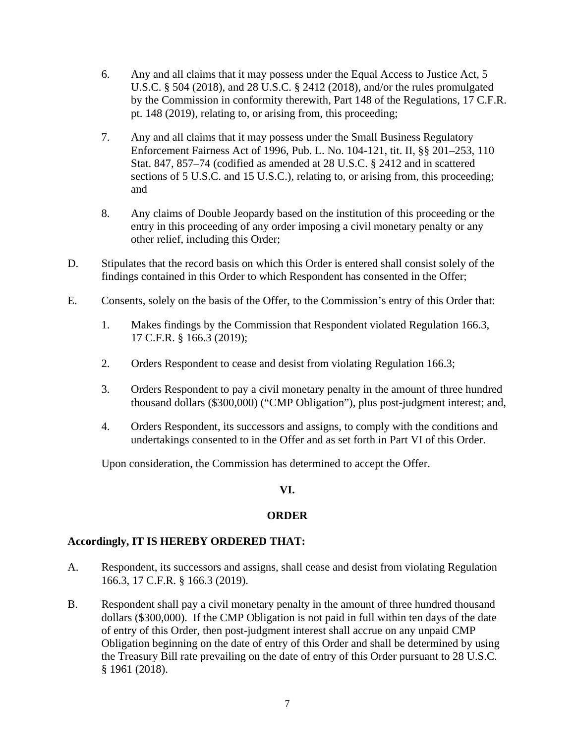- 6. Any and all claims that it may possess under the Equal Access to Justice Act, 5 U.S.C. § 504 (2018), and 28 U.S.C. § 2412 (2018), and/or the rules promulgated by the Commission in conformity therewith, Part 148 of the Regulations, 17 C.F.R. pt. 148 (2019), relating to, or arising from, this proceeding;
- 7. Any and all claims that it may possess under the Small Business Regulatory Enforcement Fairness Act of 1996, Pub. L. No. 104-121, tit. II, §§ 201–253, 110 Stat. 847, 857–74 (codified as amended at 28 U.S.C. § 2412 and in scattered sections of 5 U.S.C. and 15 U.S.C.), relating to, or arising from, this proceeding; and
- 8. Any claims of Double Jeopardy based on the institution of this proceeding or the entry in this proceeding of any order imposing a civil monetary penalty or any other relief, including this Order;
- D. Stipulates that the record basis on which this Order is entered shall consist solely of the findings contained in this Order to which Respondent has consented in the Offer;
- E. Consents, solely on the basis of the Offer, to the Commission's entry of this Order that:
	- 1. Makes findings by the Commission that Respondent violated Regulation 166.3, 17 C.F.R. § 166.3 (2019);
	- 2. Orders Respondent to cease and desist from violating Regulation 166.3;
	- 3. Orders Respondent to pay a civil monetary penalty in the amount of three hundred thousand dollars (\$300,000) ("CMP Obligation"), plus post-judgment interest; and,
	- 4. Orders Respondent, its successors and assigns, to comply with the conditions and undertakings consented to in the Offer and as set forth in Part VI of this Order.

Upon consideration, the Commission has determined to accept the Offer.

# **VI.**

# **ORDER**

## **Accordingly, IT IS HEREBY ORDERED THAT:**

- A. Respondent, its successors and assigns, shall cease and desist from violating Regulation 166.3, 17 C.F.R. § 166.3 (2019).
- B. Respondent shall pay a civil monetary penalty in the amount of three hundred thousand dollars (\$300,000). If the CMP Obligation is not paid in full within ten days of the date of entry of this Order, then post-judgment interest shall accrue on any unpaid CMP Obligation beginning on the date of entry of this Order and shall be determined by using the Treasury Bill rate prevailing on the date of entry of this Order pursuant to 28 U.S.C. § 1961 (2018).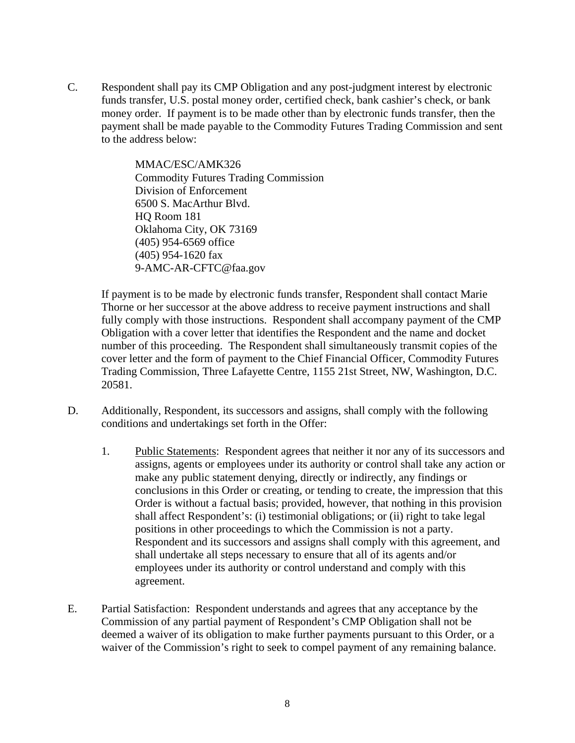C. Respondent shall pay its CMP Obligation and any post-judgment interest by electronic funds transfer, U.S. postal money order, certified check, bank cashier's check, or bank money order. If payment is to be made other than by electronic funds transfer, then the payment shall be made payable to the Commodity Futures Trading Commission and sent to the address below:

> MMAC/ESC/AMK326 Commodity Futures Trading Commission Division of Enforcement 6500 S. MacArthur Blvd. HQ Room 181 Oklahoma City, OK 73169 (405) 954-6569 office (405) 954-1620 fax 9-AMC-AR-CFTC@faa.gov

 If payment is to be made by electronic funds transfer, Respondent shall contact Marie Thorne or her successor at the above address to receive payment instructions and shall fully comply with those instructions. Respondent shall accompany payment of the CMP Obligation with a cover letter that identifies the Respondent and the name and docket number of this proceeding. The Respondent shall simultaneously transmit copies of the cover letter and the form of payment to the Chief Financial Officer, Commodity Futures Trading Commission, Three Lafayette Centre, 1155 21st Street, NW, Washington, D.C. 20581.

- D. Additionally, Respondent, its successors and assigns, shall comply with the following conditions and undertakings set forth in the Offer:
	- 1. Public Statements: Respondent agrees that neither it nor any of its successors and assigns, agents or employees under its authority or control shall take any action or make any public statement denying, directly or indirectly, any findings or conclusions in this Order or creating, or tending to create, the impression that this Order is without a factual basis; provided, however, that nothing in this provision shall affect Respondent's: (i) testimonial obligations; or (ii) right to take legal positions in other proceedings to which the Commission is not a party. Respondent and its successors and assigns shall comply with this agreement, and shall undertake all steps necessary to ensure that all of its agents and/or employees under its authority or control understand and comply with this agreement.
- E. Partial Satisfaction: Respondent understands and agrees that any acceptance by the Commission of any partial payment of Respondent's CMP Obligation shall not be deemed a waiver of its obligation to make further payments pursuant to this Order, or a waiver of the Commission's right to seek to compel payment of any remaining balance.